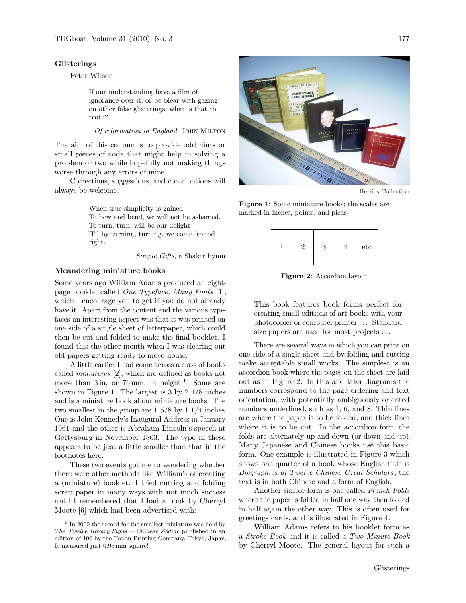#### Glisterings

Peter Wilson

If our understanding have a film of ignorance over it, or be blear with gazing on other false glisterings, what is that to truth?

Of reformation in England, JOHN MILTON

The aim of this column is to provide odd hints or small pieces of code that might help in solving a problem or two while hopefully not making things worse through any errors of mine.

Corrections, suggestions, and contributions will always be welcome.

> When true simplicity is gained, To bow and bend, we will not be ashamed. To turn, turn, will be our delight 'Til by turning, turning, we come 'round right.

> > Simple Gifts, a Shaker hymn

### Meandering miniature books

Some years ago William Adams produced an eightpage booklet called One Typeface, Many Fonts [1], which I encourage you to get if you do not already have it. Apart from the content and the various typefaces an interesting aspect was that it was printed on one side of a single sheet of letterpaper, which could then be cut and folded to make the final booklet. I found this the other month when I was clearing out old papers getting ready to move house.

A little earlier I had come across a class of books called miniatures [2], which are defined as books not more than 3 in, or 76 mm, in height.<sup>1</sup> Some are shown in Figure 1. The largest is 3 by 2 1/8 inches and is a miniature book about miniature books. The two smallest in the group are 1 5/8 by 1 1/4 inches. One is John Kennedy's Inaugural Address in January 1961 and the other is Abraham Lincoln's speech at Gettysburg in November 1863. The type in these appears to be just a little smaller than that in the footnotes here.

These two events got me to wondering whether there were other methods like William's of creating a (miniature) booklet. I tried cutting and folding scrap paper in many ways with not much success until I remembered that I had a book by Cherryl Moote [6] which had been advertised with:



Herries Collection

Figure 1: Some miniature books; the scales are marked in inches, points, and picas

|  |  |  |  | etc |
|--|--|--|--|-----|
|--|--|--|--|-----|

Figure 2: Accordion layout

This book features book forms perfect for creating small editions of art books with your photocopier or computer printer. . . . Standard size papers are used for most projects ...

There are several ways in which you can print on one side of a single sheet and by folding and cutting make acceptable small works. The simplest is an accordion book where the pages on the sheet are laid out as in Figure 2. In this and later diagrams the numbers correspond to the page ordering and text orientation, with potentially ambiguously oriented numbers underlined, such as 1, 6, and 8. Thin lines are where the paper is to be folded, and thick lines where it is to be cut. In the accordion form the folds are alternately up and down (or down and up). Many Japanese and Chinese books use this basic form. One example is illustrated in Figure 3 which shows one quarter of a book whose English title is Biographies of Twelve Chinese Great Scholars; the text is in both Chinese and a form of English.

Another simple form is one called French Folds where the paper is folded in half one way then folded in half again the other way. This is often used for greetings cards, and is illustrated in Figure 4.

William Adams refers to his booklet form as a Stroke Book and it is called a Two-Minute Book by Cherryl Moote. The general layout for such a

<sup>&</sup>lt;sup>1</sup> In 2000 the record for the smallest miniature was held by The Twelve Horary Signs— Chinese Zodiac published in an edition of 100 by the Topan Printing Company, Tokyo, Japan. It measured just 0.95 mm square!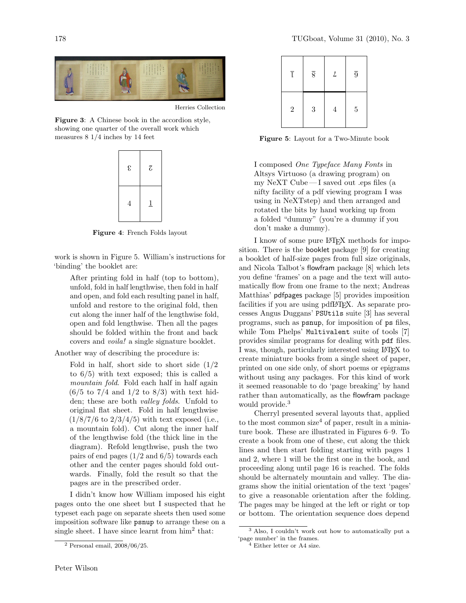

Herries Collection

Figure 3: A Chinese book in the accordion style, showing one quarter of the overall work which measures 8 1/4 inches by 14 feet



Figure 4: French Folds layout

work is shown in Figure 5. William's instructions for 'binding' the booklet are:

After printing fold in half (top to bottom), unfold, fold in half lengthwise, then fold in half and open, and fold each resulting panel in half, unfold and restore to the original fold, then cut along the inner half of the lengthwise fold, open and fold lengthwise. Then all the pages should be folded within the front and back covers and voila! a single signature booklet.

Another way of describing the procedure is:

Fold in half, short side to short side  $(1/2)$ to 6/5) with text exposed; this is called a mountain fold. Fold each half in half again  $(6/5 \text{ to } 7/4 \text{ and } 1/2 \text{ to } 8/3)$  with text hidden; these are both valley folds. Unfold to original flat sheet. Fold in half lengthwise  $(1/8/7/6 \text{ to } 2/3/4/5)$  with text exposed (i.e., a mountain fold). Cut along the inner half of the lengthwise fold (the thick line in the diagram). Refold lengthwise, push the two pairs of end pages  $(1/2 \text{ and } 6/5)$  towards each other and the center pages should fold outwards. Finally, fold the result so that the pages are in the prescribed order.

I didn't know how William imposed his eight pages onto the one sheet but I suspected that he typeset each page on separate sheets then used some imposition software like psnup to arrange these on a single sheet. I have since learnt from  $\lim^2$  that:

| ī              | $\overline{8}$ | $\mathcal{L}_{\mathcal{L}}$ | $\overline{9}$ |
|----------------|----------------|-----------------------------|----------------|
| $\overline{2}$ | $\sqrt{3}$     | $\overline{4}$              | $\bf 5$        |

Figure 5: Layout for a Two-Minute book

I composed One Typeface Many Fonts in Altsys Virtuoso (a drawing program) on my NeXT Cube— I saved out .eps files (a nifty facility of a pdf viewing program I was using in NeXTstep) and then arranged and rotated the bits by hand working up from a folded "dummy" (you're a dummy if you don't make a dummy).

I know of some pure LATEX methods for imposition. There is the booklet package [9] for creating a booklet of half-size pages from full size originals, and Nicola Talbot's flowfram package [8] which lets you define 'frames' on a page and the text will automatically flow from one frame to the next; Andreas Matthias' pdfpages package [5] provides imposition facilities if you are using pdfLAT<sub>EX</sub>. As separate processes Angus Duggans' PSUtils suite [3] has several programs, such as psnup, for imposition of ps files, while Tom Phelps' Multivalent suite of tools [7] provides similar programs for dealing with pdf files. I was, though, particularly interested using LATEX to create miniature books from a single sheet of paper, printed on one side only, of short poems or epigrams without using any packages. For this kind of work it seemed reasonable to do 'page breaking' by hand rather than automatically, as the flowfram package would provide.<sup>3</sup>

Cherryl presented several layouts that, applied to the most common size<sup>4</sup> of paper, result in a miniature book. These are illustrated in Figures 6–9. To create a book from one of these, cut along the thick lines and then start folding starting with pages 1 and 2, where 1 will be the first one in the book, and proceeding along until page 16 is reached. The folds should be alternately mountain and valley. The diagrams show the initial orientation of the text 'pages' to give a reasonable orientation after the folding. The pages may be hinged at the left or right or top or bottom. The orientation sequence does depend

<sup>2</sup> Personal email, 2008/06/25.

<sup>3</sup> Also, I couldn't work out how to automatically put a 'page number' in the frames.

<sup>4</sup> Either letter or A4 size.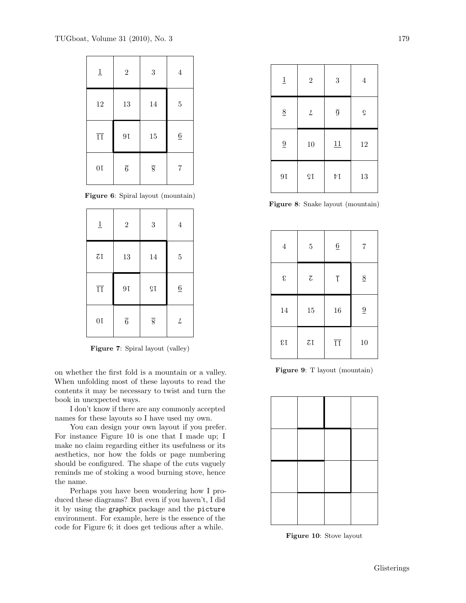| $\underline{1}$        | $\overline{2}$ | $\boldsymbol{3}$ | $\,4\,$         |
|------------------------|----------------|------------------|-----------------|
| 12                     | 13             | 14               | $\bf 5$         |
| $\overline{\text{LI}}$ | $9\,\rm{I}$    | 15               | $\underline{6}$ |
| 0I                     | $\overline{6}$ | $\overline{8}$   | 7               |

Figure 6: Spiral layout (mountain)

| $\underline{1}$        | $\sqrt{2}$     | 3              | $\overline{4}$  |
|------------------------|----------------|----------------|-----------------|
| $\zeta$ L              | 13             | 14             | $\overline{5}$  |
| $\overline{\text{LI}}$ | 9I             | ςŢ             | $\underline{6}$ |
| 0I                     | $\overline{6}$ | $\overline{8}$ | L               |

Figure 7: Spiral layout (valley)

on whether the first fold is a mountain or a valley. When unfolding most of these layouts to read the contents it may be necessary to twist and turn the book in unexpected ways.

I don't know if there are any commonly accepted names for these layouts so I have used my own.

You can design your own layout if you prefer. For instance Figure 10 is one that I made up; I make no claim regarding either its usefulness or its aesthetics, nor how the folds or page numbering should be configured. The shape of the cuts vaguely reminds me of stoking a wood burning stove, hence the name.

Perhaps you have been wondering how I produced these diagrams? But even if you haven't, I did it by using the graphicx package and the picture environment. For example, here is the essence of the code for Figure 6; it does get tedious after a while.

| $\underline{1}$ | $\sqrt{2}$                                                | $\boldsymbol{3}$ | $\,4\,$      |
|-----------------|-----------------------------------------------------------|------------------|--------------|
| $\underline{8}$ | $\mathcal{L}% _{M_{1},M_{2}}^{\alpha,\beta}(\varepsilon)$ | $\overline{9}$   | $\mathbf{G}$ |
|                 |                                                           |                  |              |
| $\underline{9}$ | 10                                                        | 11               | 12           |

Figure 8: Snake layout (mountain)

| $\overline{4}$             | $\overline{5}$           | $\underline{6}$           | 7               |
|----------------------------|--------------------------|---------------------------|-----------------|
| $\boldsymbol{\mathcal{E}}$ | $\overline{\mathcal{C}}$ | $\overline{\mathfrak{l}}$ | 8               |
| 14                         | 15                       | 16                        | $\underline{9}$ |
| $\mathfrak{c}_1$           | $\zeta$ I                | $\overline{\text{II}}$    | 10              |

Figure 9: T layout (mountain)



Figure 10: Stove layout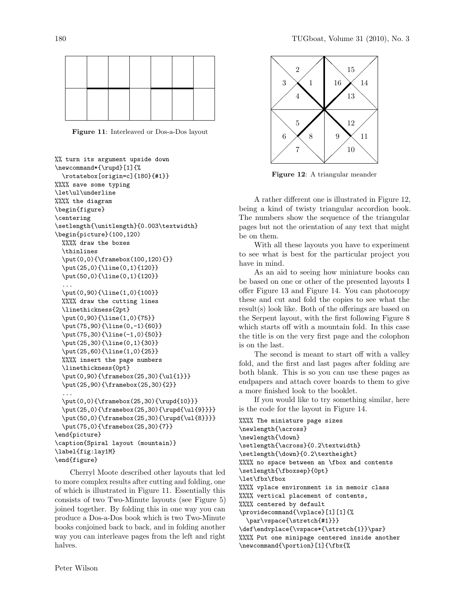

Figure 11: Interleaved or Dos-a-Dos layout

```
%% turn its argument upside down
\newcommand*{\rupd}[1]{%
 \rotatebox[origin=c]{180}{#1}}
%%%% save some typing
\let\ul\underline
%%%% the diagram
\begin{figure}
\centering
\setlength{\unitlength}{0.003\textwidth}
\begin{picture}(100,120)
 %%%% draw the boxes
  \thinlines
  \put(0,0){\framebox(100,120){}}
  \put(25,0){\line(0,1){120}}
  \put(50,0){\line(0,1){120}}
  ...
  \put(0,90){\line(1,0){100}}
  %%%% draw the cutting lines
  \linethickness{2pt}
  \put(0,90){\line(1,0){75}}
  \put(75,90){\line(0,-1){60}}
  \put(75,30){\line(-1,0){50}}
  \put(25,30){\line(0,1){30}}
  \put(25,60){\line(1,0){25}}
  %%%% insert the page numbers
  \linethickness{0pt}
  \put(0,90){\framebox(25,30){\ul{1}}}
  \put(25,90){\framebox(25,30){2}}
  ...
  \put(0,0){\framebox(25,30){\rupd{10}}}
  \put(25,0){\framebox(25,30){\rupd{\ul{9}}}}
  \put(50,0){\framebox(25,30){\rupd{\ul{8}}}}
  \put(75,0){\framebox(25,30){7}}
\end{picture}
\caption{Spiral layout (mountain)}
\label{fig:lay1M}
\end{figure}
```
Cherryl Moote described other layouts that led to more complex results after cutting and folding, one of which is illustrated in Figure 11. Essentially this consists of two Two-Minute layouts (see Figure 5) joined together. By folding this in one way you can produce a Dos-a-Dos book which is two Two-Minute books conjoined back to back, and in folding another way you can interleave pages from the left and right halves.



Figure 12: A triangular meander

A rather different one is illustrated in Figure 12, being a kind of twisty triangular accordion book. The numbers show the sequence of the triangular pages but not the orientation of any text that might be on them.

With all these layouts you have to experiment to see what is best for the particular project you have in mind.

As an aid to seeing how miniature books can be based on one or other of the presented layouts I offer Figure 13 and Figure 14. You can photocopy these and cut and fold the copies to see what the result(s) look like. Both of the offerings are based on the Serpent layout, with the first following Figure 8 which starts off with a mountain fold. In this case the title is on the very first page and the colophon is on the last.

The second is meant to start off with a valley fold, and the first and last pages after folding are both blank. This is so you can use these pages as endpapers and attach cover boards to them to give a more finished look to the booklet.

If you would like to try something similar, here is the code for the layout in Figure 14.

%%%% The miniature page sizes \newlength{\across} \newlength{\down} \setlength{\across}{0.2\textwidth} \setlength{\down}{0.2\textheight} %%%% no space between an \fbox and contents \setlength{\fboxsep}{0pt} \let\fbx\fbox %%%% vplace environment is in memoir class %%%% vertical placement of contents, %%%% centered by default \providecommand{\vplace}[1][1]{% \par\vspace{\stretch{#1}}} \def\endvplace{\vspace\*{\stretch{1}}\par} %%%% Put one minipage centered inside another \newcommand{\portion}[1]{\fbx{%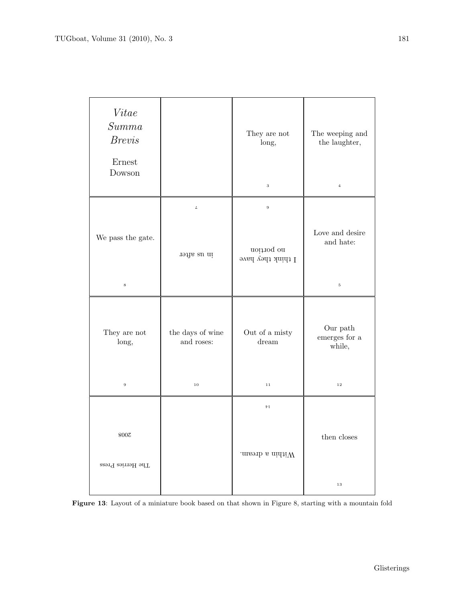| Vitee<br>Summa<br><b>Brevis</b><br>Ernest<br>Dowson |                                          | They are not<br>long,<br>$\,$ 3 $\,$                          | The weeping and<br>the laughter,<br>$\bf{4}$       |
|-----------------------------------------------------|------------------------------------------|---------------------------------------------------------------|----------------------------------------------------|
| We pass the gate.<br>$\bf8$                         | $\cal L$<br>re su mi                     | $\boldsymbol{9}$<br>no bortion<br>$1$ think they have         | Love and desire<br>and hate:<br>$\bf 5$            |
| They are not<br>long,<br>$\boldsymbol{9}$           | the days of wine<br>and roses:<br>$10\,$ | Out of a misty<br>$d$ ream<br>$1\,1$                          | Our path $\,$<br>emerges for a<br>while,<br>$1\,2$ |
| $800\%$<br>$\operatorname{Tser}$ Herries Press      |                                          | $\bar{V}$ I<br>.<br>maenb $\mathbf{s}$ nini<br>W $\mathbf{W}$ | then closes<br>$1\,3$                              |

Figure 13: Layout of a miniature book based on that shown in Figure 8, starting with a mountain fold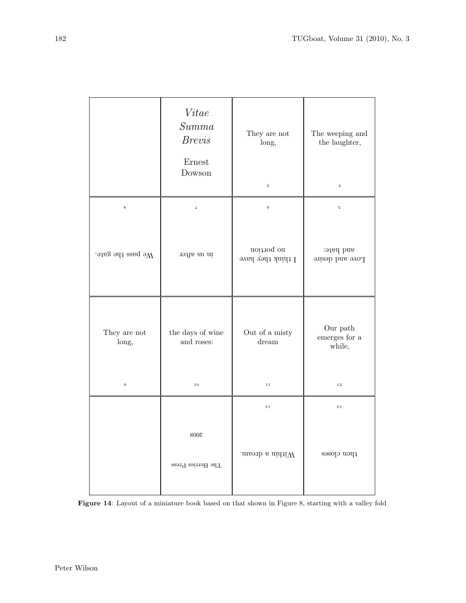|                                           | Vitae<br>Summa<br><b>Brevis</b><br>Ernest<br>Dowson | They are not<br>long,<br>$\,$ 3 $\,$ | The weeping and<br>the laughter,<br>$\bf{4}$           |
|-------------------------------------------|-----------------------------------------------------|--------------------------------------|--------------------------------------------------------|
| $\bf 8$                                   | $\cal L$                                            | $\boldsymbol{9}$                     | Ğ                                                      |
| We pass the gate.                         | request and                                         | no portion<br>I think they have      | snd hate:<br>Love and desire                           |
| They are not<br>long,<br>$\boldsymbol{9}$ | the days of wine<br>and roses:<br>10                | Out of a misty<br>$d$ ream<br>$1\,1$ | $\hbox{Our path}$<br>emerges for a<br>while,<br>$1\,2$ |
|                                           |                                                     | $\bar{\nu}$ I                        | $\Sigma$                                               |
|                                           | $800\%$<br>$\operatorname{The}$ Herries Press       | .<br>masuh a ninii<br>W $\,$         | then closes                                            |

Figure 14: Layout of a miniature book based on that shown in Figure 8, starting with a valley fold